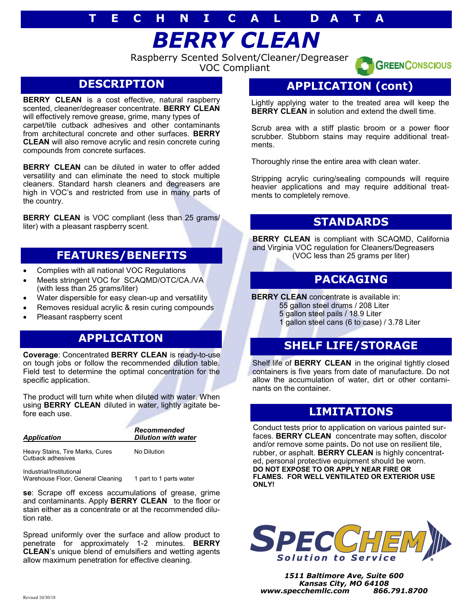# **T E C H N I C A L D A T A**

*BERRY CLEAN*

Raspberry Scented Solvent/Cleaner/Degreaser VOC Compliant



**BERRY CLEAN** is a cost effective, natural raspberry scented, cleaner/degreaser concentrate. **BERRY CLEAN**  will effectively remove grease, grime, many types of carpet/tile cutback adhesives and other contaminants from architectural concrete and other surfaces. **BERRY CLEAN** will also remove acrylic and resin concrete curing compounds from concrete surfaces.

**BERRY CLEAN** can be diluted in water to offer added versatility and can eliminate the need to stock multiple cleaners. Standard harsh cleaners and degreasers are high in VOC's and restricted from use in many parts of the country.

**BERRY CLEAN** is VOC compliant (less than 25 grams/ liter) with a pleasant raspberry scent.

### **FEATURES/BENEFITS**

- Complies with all national VOC Regulations
- Meets stringent VOC for SCAQMD/OTC/CA./VA (with less than 25 grams/liter)
- Water dispersible for easy clean-up and versatility
- Removes residual acrylic & resin curing compounds
- Pleasant raspberry scent

#### **APPLICATION**

**Coverage**: Concentrated **BERRY CLEAN** is ready-to-use on tough jobs or follow the recommended dilution table. Field test to determine the optimal concentration for the specific application.

The product will turn white when diluted with water. When using **BERRY CLEAN** diluted in water, lightly agitate before each use.

| Application | Recommended                |
|-------------|----------------------------|
|             | <b>Dilution with water</b> |
|             |                            |

Heavy Stains, Tire Marks, Cures No Dilution Cutback adhesives

Industrial/Institutional Warehouse Floor, General Cleaning 1 part to 1 parts water

**se**: Scrape off excess accumulations of grease, grime and contaminants. Apply **BERRY CLEAN** to the floor or stain either as a concentrate or at the recommended dilution rate.

Spread uniformly over the surface and allow product to penetrate for approximately 1-2 minutes. **BERRY CLEAN**'s unique blend of emulsifiers and wetting agents allow maximum penetration for effective cleaning.

### **APPLICATION (cont)**

**GREENCONSCIOUS** 

Lightly applying water to the treated area will keep the **BERRY CLEAN** in solution and extend the dwell time.

Scrub area with a stiff plastic broom or a power floor scrubber. Stubborn stains may require additional treatments.

Thoroughly rinse the entire area with clean water.

Stripping acrylic curing/sealing compounds will require heavier applications and may require additional treatments to completely remove.

### **STANDARDS**

**BERRY CLEAN** is compliant with SCAQMD, California and Virginia VOC regulation for Cleaners/Degreasers (VOC less than 25 grams per liter)

#### **PACKAGING**

**BERRY CLEAN** concentrate is available in:

55 gallon steel drums / 208 Liter

5 gallon steel pails / 18.9 Liter

1 gallon steel cans (6 to case) / 3.78 Liter

## **SHELF LIFE/STORAGE**

Shelf life of **BERRY CLEAN** in the original tightly closed containers is five years from date of manufacture. Do not allow the accumulation of water, dirt or other contaminants on the container.

#### **LIMITATIONS**

Conduct tests prior to application on various painted surfaces. **BERRY CLEAN** concentrate may soften, discolor and/or remove some paints**.** Do not use on resilient tile, rubber, or asphalt. **BERRY CLEAN** is highly concentrated, personal protective equipment should be worn. **DO NOT EXPOSE TO OR APPLY NEAR FIRE OR FLAMES. FOR WELL VENTILATED OR EXTERIOR USE ONLY!**



*1511 Baltimore Ave, Suite 600 Kansas City, MO 64108 www.specchemllc.com 866.791.8700*